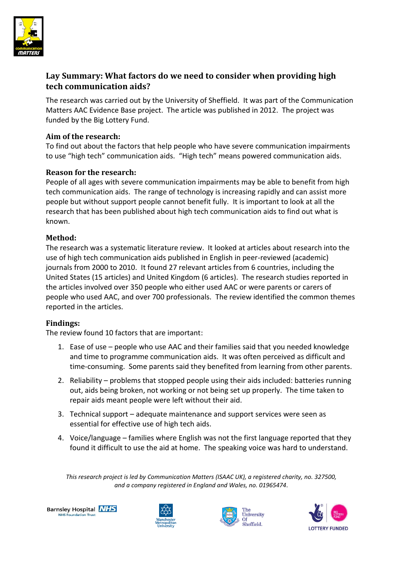

# **Lay Summary: What factors do we need to consider when providing high tech communication aids?**

The research was carried out by the University of Sheffield. It was part of the Communication Matters AAC Evidence Base project. The article was published in 2012. The project was funded by the Big Lottery Fund.

#### **Aim of the research:**

To find out about the factors that help people who have severe communication impairments to use "high tech" communication aids. "High tech" means powered communication aids.

### **Reason for the research:**

People of all ages with severe communication impairments may be able to benefit from high tech communication aids. The range of technology is increasing rapidly and can assist more people but without support people cannot benefit fully. It is important to look at all the research that has been published about high tech communication aids to find out what is known.

### **Method:**

The research was a systematic literature review. It looked at articles about research into the use of high tech communication aids published in English in peer-reviewed (academic) journals from 2000 to 2010. It found 27 relevant articles from 6 countries, including the United States (15 articles) and United Kingdom (6 articles). The research studies reported in the articles involved over 350 people who either used AAC or were parents or carers of people who used AAC, and over 700 professionals. The review identified the common themes reported in the articles.

#### **Findings:**

The review found 10 factors that are important:

- 1. Ease of use people who use AAC and their families said that you needed knowledge and time to programme communication aids. It was often perceived as difficult and time-consuming. Some parents said they benefited from learning from other parents.
- 2. Reliability problems that stopped people using their aids included: batteries running out, aids being broken, not working or not being set up properly. The time taken to repair aids meant people were left without their aid.
- 3. Technical support adequate maintenance and support services were seen as essential for effective use of high tech aids.
- 4. Voice/language families where English was not the first language reported that they found it difficult to use the aid at home. The speaking voice was hard to understand.

*This research project is led by Communication Matters (ISAAC UK), a registered charity, no. 327500, and a company registered in England and Wales, no. 01965474.*